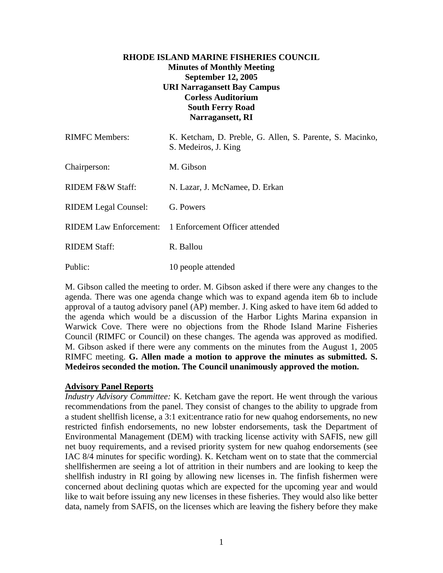## **RHODE ISLAND MARINE FISHERIES COUNCIL Minutes of Monthly Meeting September 12, 2005 URI Narragansett Bay Campus Corless Auditorium South Ferry Road Narragansett, RI**

| <b>RIMFC</b> Members:       | K. Ketcham, D. Preble, G. Allen, S. Parente, S. Macinko,<br>S. Medeiros, J. King |
|-----------------------------|----------------------------------------------------------------------------------|
| Chairperson:                | M. Gibson                                                                        |
| <b>RIDEM F&amp;W Staff:</b> | N. Lazar, J. McNamee, D. Erkan                                                   |
| <b>RIDEM</b> Legal Counsel: | G. Powers                                                                        |
|                             | RIDEM Law Enforcement: 1 Enforcement Officer attended                            |
| <b>RIDEM Staff:</b>         | R. Ballou                                                                        |
| Public:                     | 10 people attended                                                               |

M. Gibson called the meeting to order. M. Gibson asked if there were any changes to the agenda. There was one agenda change which was to expand agenda item 6b to include approval of a tautog advisory panel (AP) member. J. King asked to have item 6d added to the agenda which would be a discussion of the Harbor Lights Marina expansion in Warwick Cove. There were no objections from the Rhode Island Marine Fisheries Council (RIMFC or Council) on these changes. The agenda was approved as modified. M. Gibson asked if there were any comments on the minutes from the August 1, 2005 RIMFC meeting. **G. Allen made a motion to approve the minutes as submitted. S. Medeiros seconded the motion. The Council unanimously approved the motion.** 

### **Advisory Panel Reports**

*Industry Advisory Committee:* K. Ketcham gave the report. He went through the various recommendations from the panel. They consist of changes to the ability to upgrade from a student shellfish license, a 3:1 exit:entrance ratio for new quahog endorsements, no new restricted finfish endorsements, no new lobster endorsements, task the Department of Environmental Management (DEM) with tracking license activity with SAFIS, new gill net buoy requirements, and a revised priority system for new quahog endorsements (see IAC 8/4 minutes for specific wording). K. Ketcham went on to state that the commercial shellfishermen are seeing a lot of attrition in their numbers and are looking to keep the shellfish industry in RI going by allowing new licenses in. The finfish fishermen were concerned about declining quotas which are expected for the upcoming year and would like to wait before issuing any new licenses in these fisheries. They would also like better data, namely from SAFIS, on the licenses which are leaving the fishery before they make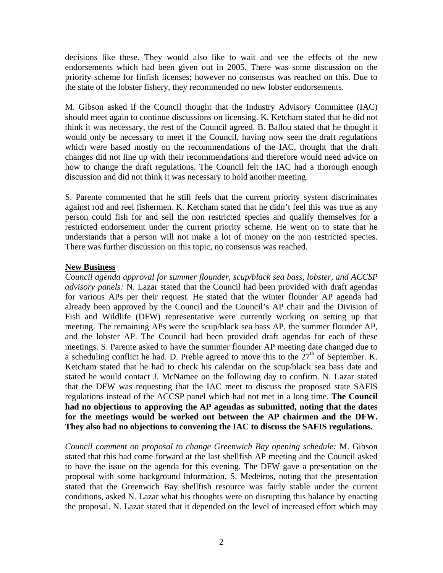decisions like these. They would also like to wait and see the effects of the new endorsements which had been given out in 2005. There was some discussion on the priority scheme for finfish licenses; however no consensus was reached on this. Due to the state of the lobster fishery, they recommended no new lobster endorsements.

M. Gibson asked if the Council thought that the Industry Advisory Committee (IAC) should meet again to continue discussions on licensing. K. Ketcham stated that he did not think it was necessary, the rest of the Council agreed. B. Ballou stated that he thought it would only be necessary to meet if the Council, having now seen the draft regulations which were based mostly on the recommendations of the IAC, thought that the draft changes did not line up with their recommendations and therefore would need advice on how to change the draft regulations. The Council felt the IAC had a thorough enough discussion and did not think it was necessary to hold another meeting.

S. Parente commented that he still feels that the current priority system discriminates against rod and reel fishermen. K. Ketcham stated that he didn't feel this was true as any person could fish for and sell the non restricted species and qualify themselves for a restricted endorsement under the current priority scheme. He went on to state that he understands that a person will not make a lot of money on the non restricted species. There was further discussion on this topic, no consensus was reached.

#### **New Business**

*Council agenda approval for summer flounder, scup/black sea bass, lobster, and ACCSP advisory panels:* N. Lazar stated that the Council had been provided with draft agendas for various APs per their request. He stated that the winter flounder AP agenda had already been approved by the Council and the Council's AP chair and the Division of Fish and Wildlife (DFW) representative were currently working on setting up that meeting. The remaining APs were the scup/black sea bass AP, the summer flounder AP, and the lobster AP. The Council had been provided draft agendas for each of these meetings. S. Parente asked to have the summer flounder AP meeting date changed due to a scheduling conflict he had. D. Preble agreed to move this to the  $27<sup>th</sup>$  of September. K. Ketcham stated that he had to check his calendar on the scup/black sea bass date and stated he would contact J. McNamee on the following day to confirm. N. Lazar stated that the DFW was requesting that the IAC meet to discuss the proposed state SAFIS regulations instead of the ACCSP panel which had not met in a long time. **The Council had no objections to approving the AP agendas as submitted, noting that the dates for the meetings would be worked out between the AP chairmen and the DFW. They also had no objections to convening the IAC to discuss the SAFIS regulations.** 

*Council comment on proposal to change Greenwich Bay opening schedule:* M. Gibson stated that this had come forward at the last shellfish AP meeting and the Council asked to have the issue on the agenda for this evening. The DFW gave a presentation on the proposal with some background information. S. Medeiros, noting that the presentation stated that the Greenwich Bay shellfish resource was fairly stable under the current conditions, asked N. Lazar what his thoughts were on disrupting this balance by enacting the proposal. N. Lazar stated that it depended on the level of increased effort which may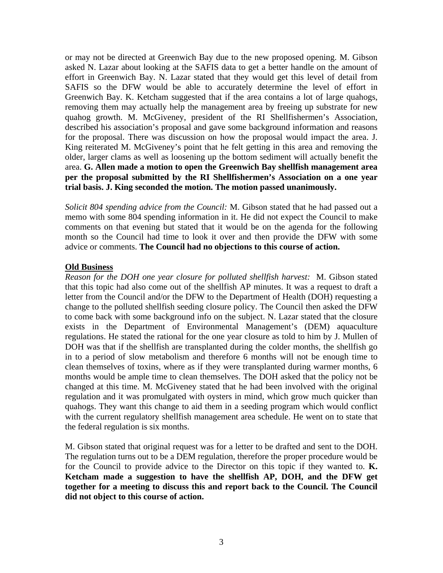or may not be directed at Greenwich Bay due to the new proposed opening. M. Gibson asked N. Lazar about looking at the SAFIS data to get a better handle on the amount of effort in Greenwich Bay. N. Lazar stated that they would get this level of detail from SAFIS so the DFW would be able to accurately determine the level of effort in Greenwich Bay. K. Ketcham suggested that if the area contains a lot of large quahogs, removing them may actually help the management area by freeing up substrate for new quahog growth. M. McGiveney, president of the RI Shellfishermen's Association, described his association's proposal and gave some background information and reasons for the proposal. There was discussion on how the proposal would impact the area. J. King reiterated M. McGiveney's point that he felt getting in this area and removing the older, larger clams as well as loosening up the bottom sediment will actually benefit the area. **G. Allen made a motion to open the Greenwich Bay shellfish management area per the proposal submitted by the RI Shellfishermen's Association on a one year trial basis. J. King seconded the motion. The motion passed unanimously.**

*Solicit 804 spending advice from the Council:* M. Gibson stated that he had passed out a memo with some 804 spending information in it. He did not expect the Council to make comments on that evening but stated that it would be on the agenda for the following month so the Council had time to look it over and then provide the DFW with some advice or comments. **The Council had no objections to this course of action.**

### **Old Business**

*Reason for the DOH one year closure for polluted shellfish harvest:* M. Gibson stated that this topic had also come out of the shellfish AP minutes. It was a request to draft a letter from the Council and/or the DFW to the Department of Health (DOH) requesting a change to the polluted shellfish seeding closure policy. The Council then asked the DFW to come back with some background info on the subject. N. Lazar stated that the closure exists in the Department of Environmental Management's (DEM) aquaculture regulations. He stated the rational for the one year closure as told to him by J. Mullen of DOH was that if the shellfish are transplanted during the colder months, the shellfish go in to a period of slow metabolism and therefore 6 months will not be enough time to clean themselves of toxins, where as if they were transplanted during warmer months, 6 months would be ample time to clean themselves. The DOH asked that the policy not be changed at this time. M. McGiveney stated that he had been involved with the original regulation and it was promulgated with oysters in mind, which grow much quicker than quahogs. They want this change to aid them in a seeding program which would conflict with the current regulatory shellfish management area schedule. He went on to state that the federal regulation is six months.

M. Gibson stated that original request was for a letter to be drafted and sent to the DOH. The regulation turns out to be a DEM regulation, therefore the proper procedure would be for the Council to provide advice to the Director on this topic if they wanted to. **K. Ketcham made a suggestion to have the shellfish AP, DOH, and the DFW get together for a meeting to discuss this and report back to the Council. The Council did not object to this course of action.**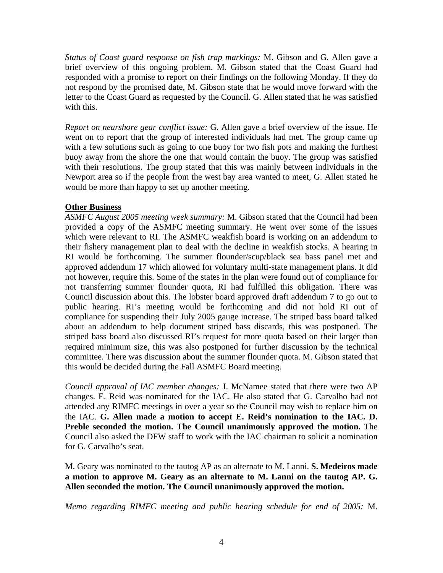*Status of Coast guard response on fish trap markings:* M. Gibson and G. Allen gave a brief overview of this ongoing problem. M. Gibson stated that the Coast Guard had responded with a promise to report on their findings on the following Monday. If they do not respond by the promised date, M. Gibson state that he would move forward with the letter to the Coast Guard as requested by the Council. G. Allen stated that he was satisfied with this.

*Report on nearshore gear conflict issue:* G. Allen gave a brief overview of the issue. He went on to report that the group of interested individuals had met. The group came up with a few solutions such as going to one buoy for two fish pots and making the furthest buoy away from the shore the one that would contain the buoy. The group was satisfied with their resolutions. The group stated that this was mainly between individuals in the Newport area so if the people from the west bay area wanted to meet, G. Allen stated he would be more than happy to set up another meeting.

## **Other Business**

*ASMFC August 2005 meeting week summary:* M. Gibson stated that the Council had been provided a copy of the ASMFC meeting summary. He went over some of the issues which were relevant to RI. The ASMFC weakfish board is working on an addendum to their fishery management plan to deal with the decline in weakfish stocks. A hearing in RI would be forthcoming. The summer flounder/scup/black sea bass panel met and approved addendum 17 which allowed for voluntary multi-state management plans. It did not however, require this. Some of the states in the plan were found out of compliance for not transferring summer flounder quota, RI had fulfilled this obligation. There was Council discussion about this. The lobster board approved draft addendum 7 to go out to public hearing. RI's meeting would be forthcoming and did not hold RI out of compliance for suspending their July 2005 gauge increase. The striped bass board talked about an addendum to help document striped bass discards, this was postponed. The striped bass board also discussed RI's request for more quota based on their larger than required minimum size, this was also postponed for further discussion by the technical committee. There was discussion about the summer flounder quota. M. Gibson stated that this would be decided during the Fall ASMFC Board meeting.

*Council approval of IAC member changes:* J. McNamee stated that there were two AP changes. E. Reid was nominated for the IAC. He also stated that G. Carvalho had not attended any RIMFC meetings in over a year so the Council may wish to replace him on the IAC. **G. Allen made a motion to accept E. Reid's nomination to the IAC. D. Preble seconded the motion. The Council unanimously approved the motion.** The Council also asked the DFW staff to work with the IAC chairman to solicit a nomination for G. Carvalho's seat.

M. Geary was nominated to the tautog AP as an alternate to M. Lanni. **S. Medeiros made a motion to approve M. Geary as an alternate to M. Lanni on the tautog AP. G. Allen seconded the motion. The Council unanimously approved the motion.**

*Memo regarding RIMFC meeting and public hearing schedule for end of 2005:* M.